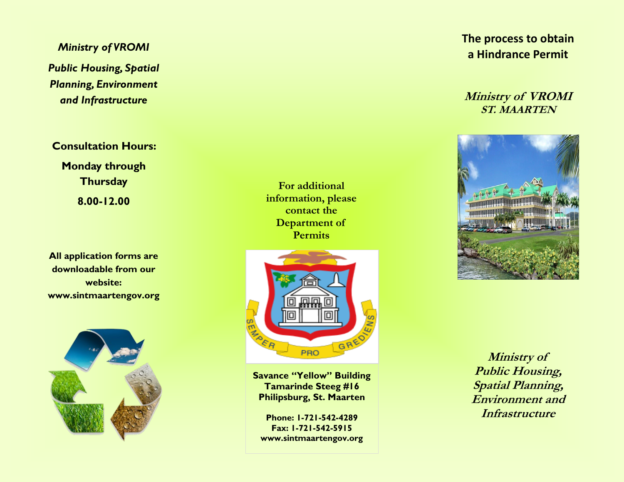*Ministry of VROMI Public Housing, Spatial Planning, Environment and Infrastructure*

**Consultation Hours:** 

**Monday through Thursday 8.00-12.00**

**All application forms are downloadable from our website: www.sintmaartengov.org**



**For additional information, please contact the Department of Permits** 



**Savance "Yellow" Building Tamarinde Steeg #16 Philipsburg, St. Maarten**

**Phone: 1-721-542-4289 Fax: 1-721-542-5915 www.sintmaartengov.org**

# **The process to obtain a Hindrance Permit**

## **Ministry of VROMI ST. MAARTEN**



**Ministry of Public Housing, Spatial Planning, Environment and Infrastructure**